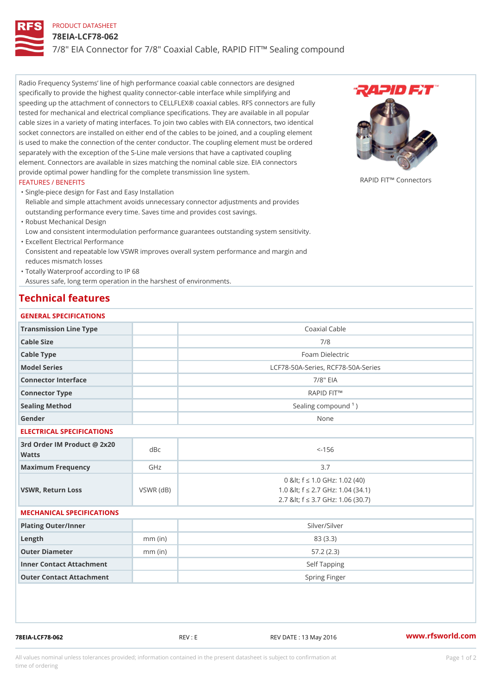# PRODUCT DATASHEET

### 78EIA-LCF78-062

7/8" EIA Connector for 7/8" Coaxial Cable, RAPID FIT!" Sealing compou

Radio Frequency Systems line of high performance coaxial cable connectors are designed specifically to provide the highest quality connector-cable interface while simplifying and speeding up the attachment of connectors to CELLFLEX® coaxial cables. RFS connectors are fully tested for mechanical and electrical compliance specifications. They are available in all popular cable sizes in a variety of mating interfaces. To join two cables with EIA connectors, two identical socket connectors are installed on either end of the cables to be joined, and a coupling element is used to make the connection of the center conductor. The coupling element must be ordered separately with the exception of the S-Line male versions that have a captivated coupling element. Connectors are available in sizes matching the nominal cable size. EIA connectors provide optimal power handling for the complete transmission line system. FEATURES / BENEFITS ....<br>RAPID FIT!" Connectors

Single-piece design for Fast and Easy Installation " Reliable and simple attachment avoids unnecessary connector adjustments and provides outstanding performance every time. Saves time and provides cost savings.

Robust Mechanical Design "

Low and consistent intermodulation performance guarantees outstanding system sensitivity. Excellent Electrical Performance "

Consistent and repeatable low VSWR improves overall system performance and margin and reduces mismatch losses

Totally Waterproof according to IP 68 "

Assures safe, long term operation in the harshest of environments.

# Technical features

#### GENERAL SPECIFICATIONS

| Transmission Line Type | Coaxial Cable                      |
|------------------------|------------------------------------|
| Cable Size             | 7/8                                |
| Cable Type             | Foam Dielectric                    |
| Model Series           | LCF78-50A-Series, RCF78-50A-Series |
| Connector Interface    | $7/8$ " EIA                        |
| Connector Type         | RAPID FIT!"                        |
| Sealing Method         | Sealing compound $\binom{1}{1}$    |
| Gender                 | None                               |

#### ELECTRICAL SPECIFICATIONS

| 3rd Order IM Product @ 2x20<br>dBc<br>Watts |           | $<-156$                                                                                                         |
|---------------------------------------------|-----------|-----------------------------------------------------------------------------------------------------------------|
| Maximum Frequency                           | GHz       | 3.7                                                                                                             |
| VSWR, Return Loss                           | VSWR (dB) | 0 & It; f "d 1.0 G H z: 1.02 (40)<br>1.0 & It; f "d 2.7 GHz: 1.04 (34.1)<br>2.7 & It; f "d 3.7 GHz: 1.06 (30.7) |

#### MECHANICAL SPECIFICATIONS

| Plating Outer/Inner      |           | Silver/Silver |
|--------------------------|-----------|---------------|
| Length                   | $mm$ (in) | 83 (3.3)      |
| Outer Diameter           | $mm$ (in) | 57.2(2.3)     |
| Inner Contact Attachment |           | Self Tapping  |
| Outer Contact Attachment |           | Spring Finger |

78EIA-LCF78-062 REV : E REV DATE : 13 May 2016 [www.](https://www.rfsworld.com)rfsworld.com